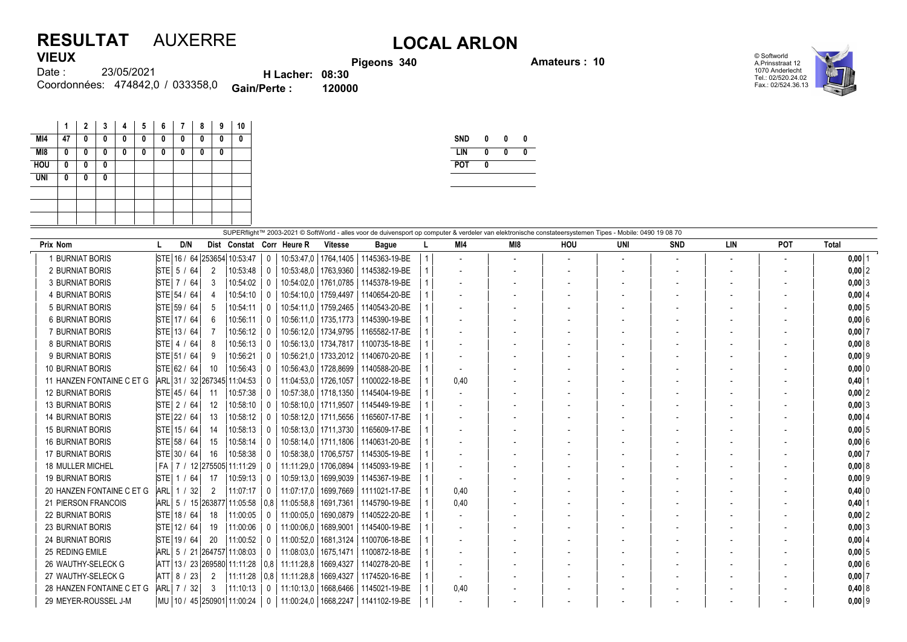## **RESULTAT** AUXERRE **LOCAL ARLON VIEUX**

**Pigeons 340 Amateurs : 10**



23/05/2021 474842,0 / 033358,0 Coordonnées: **Gain/Perte : 120000** Date : **H Lacher: 08:30**

|            | 1  | $\overline{2}$ | 3 | 4 | 5 | 6 | 7 | 8 | 9 | 10 |
|------------|----|----------------|---|---|---|---|---|---|---|----|
| MI4        | 47 | 0              | 0 | 0 | 0 | 0 | 0 | 0 | 0 | 0  |
| M18        | 0  | 0              | 0 | 0 | 0 | 0 | 0 | 0 | 0 |    |
| <b>HOU</b> | 0  | 0              | 0 |   |   |   |   |   |   |    |
| <b>UNI</b> | 0  | 0              | 0 |   |   |   |   |   |   |    |
|            |    |                |   |   |   |   |   |   |   |    |
|            |    |                |   |   |   |   |   |   |   |    |
|            |    |                |   |   |   |   |   |   |   |    |

| <b>SND</b> | n |   |  |
|------------|---|---|--|
| LIN        | N | N |  |
| <b>POT</b> |   |   |  |
|            |   |   |  |

| SUPERflight™ 2003-2021 © SoftWorld - alles voor de duivensport op computer & verdeler van elektronische constateersystemen Tipes - Mobile: 0490 19 08 70 |                                  |                   |                 |                  |              |                |                           |  |                          |     |     |                          |            |     |     |              |
|----------------------------------------------------------------------------------------------------------------------------------------------------------|----------------------------------|-------------------|-----------------|------------------|--------------|----------------|---------------------------|--|--------------------------|-----|-----|--------------------------|------------|-----|-----|--------------|
| <b>Prix Nom</b>                                                                                                                                          | D/N                              |                   | Dist Constat    |                  | Corr Heure R | <b>Vitesse</b> | <b>Bague</b>              |  | MI4                      | MI8 | HOU | UNI                      | <b>SND</b> | LIN | POT | <b>Total</b> |
| 1 BURNIAT BORIS                                                                                                                                          | STE 16 / 64 253654               |                   | 10:53:47        |                  | 10:53:47.0   |                | 1764.1405   1145363-19-BE |  |                          |     |     | $\overline{\phantom{a}}$ |            |     |     | $0,00$  1    |
| 2 BURNIAT BORIS                                                                                                                                          | STE $5/$<br>64                   | 2                 | 10:53:48        | $\Omega$         | 10:53:48.0   | 1763,9360      | 1145382-19-BE             |  |                          |     |     |                          |            |     |     | $0,00$  2    |
| <b>3 BURNIAT BORIS</b>                                                                                                                                   | STE 7 / 64                       | 3                 | 10:54:02        |                  | 10:54:02.0   | 1761.0785      | 1145378-19-BE             |  |                          |     |     |                          |            |     |     | $0,00$ 3     |
| <b>4 BURNIAT BORIS</b>                                                                                                                                   | STE 54 / 64                      |                   | 10:54:10        |                  | 10:54:10,0   | 1759,4497      | 1140654-20-BE             |  |                          |     |     |                          |            |     |     | $0,00$ 4     |
| <b>5 BURNIAT BORIS</b>                                                                                                                                   | STE 59 / 64                      | -5                | 10:54:11        | $\Omega$         | 10:54:11.0   | 1759,2465      | 1140543-20-BE             |  |                          |     |     |                          |            |     |     | $0,00$ 5     |
| <b>6 BURNIAT BORIS</b>                                                                                                                                   | STE 17 / 64                      | 6                 | 10:56:11        | $\cup$           | 10:56:11.0   | 1735.1773      | 1145390-19-BE             |  |                          |     |     |                          |            |     |     | 0,006        |
| 7 BURNIAT BORIS                                                                                                                                          | STE 13 / 64                      |                   | 10:56:12        |                  | 10:56:12.0   | 1734,9795      | 1165582-17-BE             |  |                          |     |     |                          |            |     |     | $0,00$ 7     |
| <b>8 BURNIAT BORIS</b>                                                                                                                                   | <b>STE 4 / 64</b>                | 8                 | 10:56:13        |                  | 10:56:13.0   | 1734.7817      | 1100735-18-BE             |  |                          |     |     |                          |            |     |     | $0,00$ 8     |
| 9 BURNIAT BORIS                                                                                                                                          | STE 51 / 64                      | 9                 | 10:56:21        |                  | 10:56:21.0   | 1733,2012      | 1140670-20-BE             |  |                          |     |     |                          |            |     |     | $0,00$ 9     |
| <b>10 BURNIAT BORIS</b>                                                                                                                                  | STE 62 / 64                      | 10                | 10:56:43        |                  | 10:56:43.0   | 1728.8699      | 1140588-20-BE             |  | $\overline{\phantom{a}}$ |     |     |                          |            |     |     | $0,00$ 0     |
| 11 HANZEN FONTAINE C ET G                                                                                                                                | ARL 31 / 32 267345 11:04:53      |                   |                 | $\left( \right)$ | 11:04:53.0   | 1726,1057      | 1100022-18-BE             |  | 0.40                     |     |     |                          |            |     |     | $0,40$   1   |
| <b>12 BURNIAT BORIS</b>                                                                                                                                  | STE 45 / 64                      | 11                | 10:57:38        |                  | 10:57:38,0   | 1718,1350      | 1145404-19-BE             |  |                          |     |     |                          |            |     |     | $0,00$ 2     |
| <b>13 BURNIAT BORIS</b>                                                                                                                                  | STE 2 / 64                       | $12 \overline{ }$ | 10:58:10        |                  | 10:58:10.0   | 1711.9507      | 1145449-19-BE             |  |                          |     |     |                          |            |     |     | $0,00$ 3     |
| <b>14 BURNIAT BORIS</b>                                                                                                                                  | STE 22 / 64                      | 13                | 10:58:12        | $\Omega$         | 10:58:12.0   | 1711.5656      | 1165607-17-BE             |  |                          |     |     |                          |            |     |     | $0,00$ 4     |
| <b>15 BURNIAT BORIS</b>                                                                                                                                  | STE 15 / 64                      | 14                | 10:58:13        |                  | 10:58:13,0   | 1711.3730      | 1165609-17-BE             |  |                          |     |     |                          |            |     |     | $0,00$ 5     |
| <b>16 BURNIAT BORIS</b>                                                                                                                                  | STE 58 / 64                      | 15                | 10:58:14        |                  | 10:58:14.0   | 1711.1806      | 1140631-20-BE             |  |                          |     |     |                          |            |     |     | $0,00$ 6     |
| <b>17 BURNIAT BORIS</b>                                                                                                                                  | STE 30 / 64                      | 16                | 10:58:38        | $\Omega$         | 10:58:38.0   | 1706,5757      | 1145305-19-BE             |  |                          |     |     |                          |            |     |     | $0,00$ 7     |
| <b>18 MULLER MICHEL</b>                                                                                                                                  | FA   7 / 12 275505 11:11:29      |                   |                 |                  | 11:11:29.0   | 1706.0894      | 1145093-19-BE             |  |                          |     |     |                          |            |     |     | 0,008        |
| <b>19 BURNIAT BORIS</b>                                                                                                                                  | $STE$ 1 /<br>64                  | 17                | 10:59:13        |                  | 10:59:13,0   | 1699,9039      | 1145367-19-BE             |  |                          |     |     |                          |            |     |     | $0,00$ 9     |
| 20 HANZEN FONTAINE C ET G                                                                                                                                | ARL 1/<br>32                     | $\overline{2}$    | 11:07:17        | $\Omega$         | 11:07:17.0   | 1699,7669      | 1111021-17-BE             |  | 0,40                     |     |     |                          |            |     |     | $0,40$ 0     |
| 21 PIERSON FRANCOIS                                                                                                                                      | ARL 5 / 15 263877                |                   | 11:05:58        | 0.8              | 11:05:58.8   | 1691.7361      | 1145790-19-BE             |  | 0,40                     |     |     |                          |            |     |     | $0,40$   1   |
| <b>22 BURNIAT BORIS</b>                                                                                                                                  | STE 18 / 64                      | 18                | 11:00:05        | 0                | 11:00:05,0   | 1690,0879      | 1140522-20-BE             |  |                          |     |     |                          |            |     |     | $0,00$ 2     |
| <b>23 BURNIAT BORIS</b>                                                                                                                                  | STE 12 / 64                      | 19                | 11:00:06        | $\Omega$         | 11:00:06.0   | 1689.9001      | 1145400-19-BE             |  |                          |     |     |                          |            |     |     | $0,00$ 3     |
| <b>24 BURNIAT BORIS</b>                                                                                                                                  | STE 19 / 64                      | 20                | 11:00:52        |                  | 11:00:52,0   | 1681.3124      | 1100706-18-BE             |  |                          |     |     |                          |            |     |     | $0,00$ 4     |
| 25 REDING EMILE                                                                                                                                          | ARL 5 / 21                       |                   | 264757 11:08:03 | $\left( \right)$ | 11:08:03.0   | 1675,1471      | 1100872-18-BE             |  |                          |     |     |                          |            |     |     | $0,00$ 5     |
| 26 WAUTHY-SELECK G                                                                                                                                       | ATT 13 / 23 269580 11:11:28      |                   |                 | 0.8              | 11:11:28.8   | 1669.4327      | 1140278-20-BE             |  |                          |     |     |                          |            |     |     | 0,006        |
| 27 WAUTHY-SELECK G                                                                                                                                       | ATT 8 / 23                       | 2                 | 11:11:28        | 0,8              | 11:11:28.8   | 1669,4327      | 1174520-16-BE             |  | $\overline{\phantom{a}}$ |     |     |                          |            |     |     | $0,00$ 7     |
| 28 HANZEN FONTAINE C ET G                                                                                                                                | ARL 7 / 32                       | -3                | 11:10:13        | $\left( \right)$ | 11:10:13.0   | 1668.6466      | 1145021-19-BE             |  | 0,40                     |     |     |                          |            |     |     | $0,40$ 8     |
| 29 MEYER-ROUSSEL J-M                                                                                                                                     | MU   10 / 45   250901   11:00:24 |                   |                 | 0                | 11:00:24,0   |                | 1668,2247   1141102-19-BE |  |                          |     |     |                          |            |     |     | $0,00$ 9     |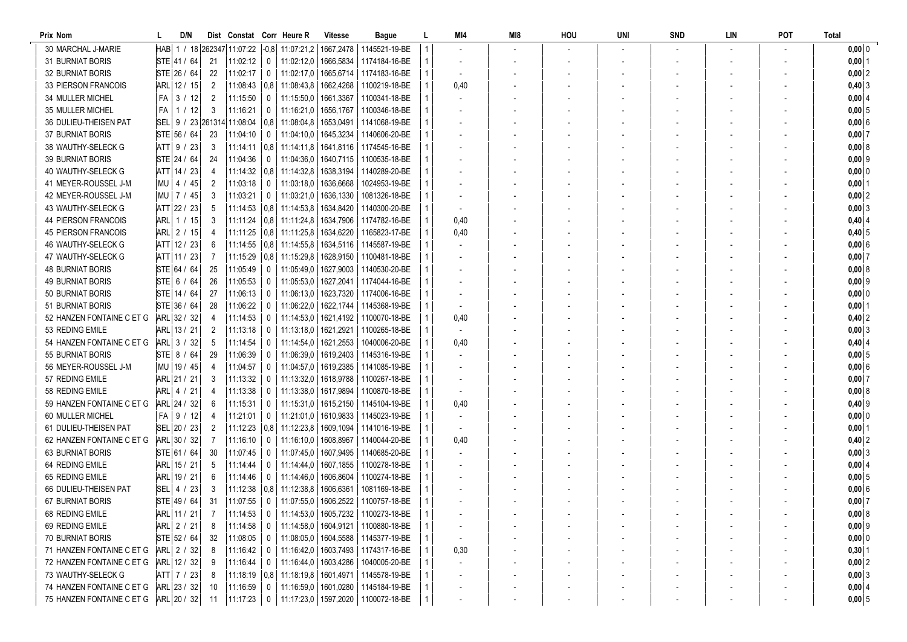| Prix Nom                   |     | D/N             |                |                                |                | Dist Constat Corr Heure R | Vitesse   | <b>Bague</b>                                        |              | MI4  | MI8 | HOU | uni | <b>SND</b> | LIN | <b>POT</b> | <b>Total</b> |
|----------------------------|-----|-----------------|----------------|--------------------------------|----------------|---------------------------|-----------|-----------------------------------------------------|--------------|------|-----|-----|-----|------------|-----|------------|--------------|
| 30 MARCHAL J-MARIE         |     |                 |                | HAB   1 / 18 262347   11:07:22 |                |                           |           | -0,8  11:07:21,2   1667,2478   1145521-19-BE        |              |      |     |     |     |            |     |            | $0,00$ 0     |
| <b>31 BURNIAT BORIS</b>    |     | STE 41 / 64     | 21             | 11:02:12                       | $\mathbf{0}$   | 11:02:12,0                |           | 1666,5834   1174184-16-BE                           |              |      |     |     |     |            |     |            | $0,00$ 1     |
| <b>32 BURNIAT BORIS</b>    |     | STE 26 / 64     | 22             | 11:02:17                       | $\mathbf 0$    | 11:02:17.0                |           | 1665,6714   1174183-16-BE                           |              |      |     |     |     |            |     |            | $0,00$ 2     |
| 33 PIERSON FRANCOIS        |     | ARL 12 / 15     | 2              | 11:08:43                       |                | 0.8 11:08:43.8            |           | 1662.4268 1100219-18-BE                             |              | 0,40 |     |     |     |            |     |            | $0,40$ 3     |
| 34 MULLER MICHEL           | FA  | 3 / 12          | 2              | 11:15:50                       | $\mathbf 0$    | 11:15:50,0                | 1661,3367 | 1100341-18-BE                                       |              |      |     |     |     |            |     |            | 0,00 4       |
| 35 MULLER MICHEL           | FA  | 1 / 12          | 3              | 11:16:21                       | 0              | 11:16:21,0                |           | 1656,1767   1100346-18-BE                           |              |      |     |     |     |            |     |            | 0,005        |
| 36 DULIEU-THEISEN PAT      | SEL | 9 / 23   261314 |                | 11:08:04                       |                | $0.8$   11:08:04.8        | 1653,0491 | 1141068-19-BE                                       |              |      |     |     |     |            |     |            | 0,006        |
| <b>37 BURNIAT BORIS</b>    |     | STE 56 / 64     | 23             | 11:04:10                       | 0              | 11:04:10.0                |           | 1645,3234   1140606-20-BE                           |              |      |     |     |     |            |     |            | $0,00$ 7     |
| 38 WAUTHY-SELECK G         |     | ATT 9 / 23      | 3              | 11:14:11                       |                | $ 0.8 $ 11:14:11.8        |           | 1641,8116   1174545-16-BE                           |              |      |     |     |     |            |     |            | 0,008        |
| <b>39 BURNIAT BORIS</b>    |     | STE 24 / 64     | 24             | 11:04:36                       | 0              |                           |           | 11:04:36.0   1640.7115   1100535-18-BE              |              |      |     |     |     |            |     |            | $0,00$ 9     |
| 40 WAUTHY-SELECK G         |     | ATT 14 / 23     | 4              | 11:14:32                       |                | 0.8   11:14:32.8          |           | 1638,3194   1140289-20-BE                           |              |      |     |     |     |            |     |            | $0,00$ 0     |
| 41 MEYER-ROUSSEL J-M       |     | MU 4 / 45       | $\overline{2}$ | 11:03:18                       | $\mathbf 0$    | 11:03:18.0                | 1636,6668 | 1024953-19-BE                                       |              |      |     |     |     |            |     |            | $0,00$   1   |
| 42 MEYER-ROUSSEL J-M       |     | MU 7 / 45       | 3              | 11:03:21                       | $\mathbf 0$    | 11:03:21,0                | 1636,1330 | 1081326-18-BE                                       |              |      |     |     |     |            |     |            | $0,00$ 2     |
| 43 WAUTHY-SELECK G         |     | ATT 22 / 23     | 5              | 11:14:53                       |                | 0.8   11:14:53.8          |           | 1634,8420   1140300-20-BE                           |              |      |     |     |     |            |     |            | 0,003        |
| <b>44 PIERSON FRANCOIS</b> |     | arl  1 / 15     | 3              | 11:11:24                       |                |                           |           | 0.8   11:11:24.8   1634.7906   1174782-16-BE        |              | 0,40 |     |     |     |            |     |            | $0,40$ 4     |
| <b>45 PIERSON FRANCOIS</b> |     | ARL 2 / 15      | 4              | 11:11:25                       |                | $0.8$   11:11:25.8        | 1634,6220 | 1165823-17-BE                                       |              | 0,40 |     |     |     |            |     |            | $0,40$ 5     |
| 46 WAUTHY-SELECK G         |     | ATT 12 / 23     | 6              | 11:14:55                       |                | $0.8$   11:14:55.8        |           | 1634,5116   1145587-19-BE                           |              |      |     |     |     |            |     |            | 0,006        |
| 47 WAUTHY-SELECK G         |     | ATT 11 / 23     |                | 11:15:29                       |                | $0.8$   11:15:29.8        |           | 1628,9150   1100481-18-BE                           |              |      |     |     |     |            |     |            | $0,00$ 7     |
| <b>48 BURNIAT BORIS</b>    |     | STE 64 / 64     | 25             | 11:05:49                       | $\overline{0}$ |                           |           | 11:05:49,0   1627,9003   1140530-20-BE              |              |      |     |     |     |            |     |            | 0,008        |
| 49 BURNIAT BORIS           |     | STE 6 / 64      | 26             | 11:05:53                       | 0              |                           |           | 11:05:53,0   1627,2041   1174044-16-BE              |              |      |     |     |     |            |     |            | $0,00$ 9     |
| 50 BURNIAT BORIS           |     | STE 14 / 64     | 27             | 11:06:13                       | 0              | 11:06:13.0                |           | 1623,7320   1174006-16-BE                           |              |      |     |     |     |            |     |            | $0,00$ 0     |
| 51 BURNIAT BORIS           |     | STE 36 / 64     | 28             | 11:06:22                       | 0              | 11:06:22,0                |           | 1622,1744   1145368-19-BE                           |              |      |     |     |     |            |     |            | $0,00$   1   |
| 52 HANZEN FONTAINE C ET G  |     | ARL 32 / 32     | 4              | 11:14:53                       | 0              | 11:14:53,0                |           | 1621,4192   1100070-18-BE                           |              | 0,40 |     |     |     |            |     |            | $0,40$ 2     |
| 53 REDING EMILE            |     | ARL 13 / 21     | 2              | 11:13:18                       | 0              | 11:13:18,0                |           | 1621,2921   1100265-18-BE                           |              |      |     |     |     |            |     |            | $0,00$ 3     |
| 54 HANZEN FONTAINE C ET G  |     | ARL 3 / 32      | 5              | 11:14:54                       | 0              | 11:14:54,0                | 1621,2553 | 1040006-20-BE                                       |              | 0,40 |     |     |     |            |     |            | $0,40$ 4     |
| 55 BURNIAT BORIS           |     | STE 8 / 64      | 29             | 11:06:39                       | 0              | 11:06:39.0                | 1619,2403 | 1145316-19-BE                                       |              |      |     |     |     |            |     |            | $0,00$ 5     |
| 56 MEYER-ROUSSEL J-M       |     | MU 19 / 45      | 4              | 11:04:57                       | 0              | 11:04:57,0                |           | 1619,2385   1141085-19-BE                           |              |      |     |     |     |            |     |            | $0,00$ 6     |
| 57 REDING EMILE            |     | ARL 21 / 21     | 3              | 11:13:32                       | 0              |                           |           | 11:13:32,0   1618,9788   1100267-18-BE              |              |      |     |     |     |            |     |            | $0,00$ 7     |
| 58 REDING EMILE            |     | ARL  4 / 21     | 4              | 11:13:38                       | 0              |                           |           | 11:13:38,0   1617,9894   1100870-18-BE              |              |      |     |     |     |            |     |            | 0,008        |
| 59 HANZEN FONTAINE C ET G  |     | ARL 24 / 32     | 6              | 11:15:31                       | $\mathbf 0$    |                           |           | 11:15:31,0   1615,2150   1145104-19-BE              |              | 0,40 |     |     |     |            |     |            | $0,40$ 9     |
| 60 MULLER MICHEL           |     | $FA$   9 / 12   | 4              | 11:21:01                       | 0              |                           |           | 11:21:01.0   1610.9833   1145023-19-BE              |              |      |     |     |     |            |     |            | $0,00$ 0     |
| 61 DULIEU-THEISEN PAT      |     | SEL 20 / 23     | 2              | 11:12:23                       |                | $0.8$   11:12:23.8        |           | 1609,1094   1141016-19-BE                           |              |      |     |     |     |            |     |            | $0,00$ 1     |
| 62 HANZEN FONTAINE C ET G  |     | ARL 30 / 32     |                | 11:16:10                       | 0              | 11:16:10.0                | 1608,8967 | 1140044-20-BE                                       |              | 0,40 |     |     |     |            |     |            | $0,40$ 2     |
| <b>63 BURNIAT BORIS</b>    |     | STE 61 / 64     | 30             | 11:07:45                       | $\bf{0}$       | 11:07:45,0                | 1607,9495 | 1140685-20-BE                                       |              |      |     |     |     |            |     |            | $0,00$ 3     |
| 64 REDING EMILE            |     | ARL 15 / 21     | -5             | 11:14:44                       | 0              | 11:14:44.0                | 1607,1855 | 1100278-18-BE                                       |              |      |     |     |     |            |     |            | 0,00   4     |
| 65 REDING EMILE            | ARL | 19/21           | 6              | 11:14:46                       | 0              | 11:14:46,0                |           | 1606,8604   1100274-18-BE                           |              |      |     |     |     |            |     |            | $0,00$ 5     |
| 66 DULIEU-THEISEN PAT      | SEL | 4 / 23          | 3              | 11:12:38                       |                | $0.8$   11:12:38.8        | 1606,6361 | 1081169-18-BE                                       |              |      |     |     |     |            |     |            | $0,00$ 6     |
| 67 BURNIAT BORIS           |     | STE 49 / 64     | -31            | 11:07:55                       | $\mathbf 0$    |                           |           | 11:07:55.0   1606.2522   1100757-18-BE              |              |      |     |     |     |            |     |            | $0,00$ 7     |
| 68 REDING EMILE            |     | ARL 11 / 21     | $\overline{7}$ | 11:14:53                       |                |                           |           | 0   11:14:53,0   1605,7232   1100273-18-BE          | $\mathbf{1}$ |      |     |     |     |            |     |            | 0,008        |
| 69 REDING EMILE            |     | ARL 2 / 21      | 8              | 11:14:58                       | $\mathbf{0}$   |                           |           | 11:14:58,0   1604,9121   1100880-18-BE              |              |      |     |     |     |            |     |            | $0,00$ 9     |
| 70 BURNIAT BORIS           |     | STE 52 / 64     | 32             | 11:08:05                       | $\mathbf{0}$   |                           |           | 11:08:05,0   1604,5588   1145377-19-BE              |              |      |     |     |     |            |     |            | $0,00$ 0     |
| 71 HANZEN FONTAINE C ET G  |     | ARL 2 / 32      | 8              | 11:16:42                       | $\mathbf{0}$   |                           |           | 11:16:42.0   1603.7493   1174317-16-BE              |              | 0,30 |     |     |     |            |     |            | $0,30$ 1     |
| 72 HANZEN FONTAINE C ET G  |     | ARL 12 / 32     |                | 11:16:44                       | $\mathbf 0$    |                           |           | 11:16:44,0   1603,4286   1040005-20-BE              |              |      |     |     |     |            |     |            | $0,00$ 2     |
| 73 WAUTHY-SELECK G         |     | ATT 7 / 23      | 8              | 11:18:19                       |                |                           |           | $\mid$ 0.8   11:18:19.8   1601.4971   1145578-19-BE |              |      |     |     |     |            |     |            | $0,00$ 3     |
| 74 HANZEN FONTAINE C ET G  |     | ARL 23 / 32     | 10             | 11:16:59                       | $\mathbf{0}$   |                           |           | 11:16:59,0   1601,0280   1145184-19-BE              |              |      |     |     |     |            |     |            | $0,00$ 4     |
| 75 HANZEN FONTAINE C ET G  |     | ARL 20 / 32     | 11             | 11:17:23                       | $\mathbf 0$    |                           |           | 11:17:23,0   1597,2020   1100072-18-BE              |              |      |     |     |     |            |     |            | 0,005        |